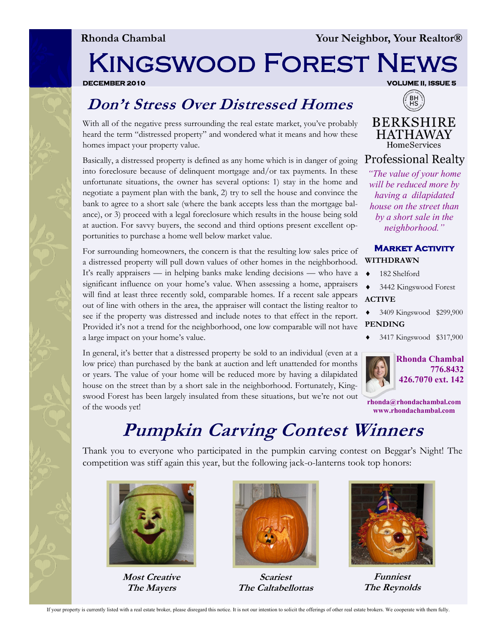# Kingswood Forest News

**DECEMBER 2010 VOLUME II, ISSUE 5** 

## **Don't Stress Over Distressed Homes**

With all of the negative press surrounding the real estate market, you've probably heard the term "distressed property" and wondered what it means and how these homes impact your property value.

Basically, a distressed property is defined as any home which is in danger of going into foreclosure because of delinquent mortgage and/or tax payments. In these unfortunate situations, the owner has several options: 1) stay in the home and negotiate a payment plan with the bank, 2) try to sell the house and convince the bank to agree to a short sale (where the bank accepts less than the mortgage balance), or 3) proceed with a legal foreclosure which results in the house being sold at auction. For savvy buyers, the second and third options present excellent opportunities to purchase a home well below market value.

For surrounding homeowners, the concern is that the resulting low sales price of a distressed property will pull down values of other homes in the neighborhood. It's really appraisers — in helping banks make lending decisions — who have a significant influence on your home's value. When assessing a home, appraisers will find at least three recently sold, comparable homes. If a recent sale appears out of line with others in the area, the appraiser will contact the listing realtor to see if the property was distressed and include notes to that effect in the report. Provided it's not a trend for the neighborhood, one low comparable will not have a large impact on your home's value.

In general, it's better that a distressed property be sold to an individual (even at a low price) than purchased by the bank at auction and left unattended for months or years. The value of your home will be reduced more by having a dilapidated house on the street than by a short sale in the neighborhood. Fortunately, Kingswood Forest has been largely insulated from these situations, but we're not out of the woods yet!



**BERKSHIRE HATHAWAY** HomeServices

**Professional Realty** 

*"The value of your home will be reduced more by having a dilapidated house on the street than by a short sale in the neighborhood."*

#### **Market Activity WITHDRAWN**

- ◆ 182 Shelford
- ◆ 3442 Kingswood Forest **ACTIVE**
- 3409 Kingswood \$299,900 **PENDING**
- 3417 Kingswood \$317,900



**Rhonda Chambal 776.8432 426.7070 ext. 142**

**rhonda@rhondachambal.com www.rhondachambal.com**

# **Pumpkin Carving Contest Winners**

Thank you to everyone who participated in the pumpkin carving contest on Beggar's Night! The competition was stiff again this year, but the following jack-o-lanterns took top honors:



**Most Creative The Mayers**



**Scariest The Caltabellottas**



**Funniest The Reynolds**

If your property is currently listed with a real estate broker, please disregard this notice. It is not our intention to solicit the offerings of other real estate brokers. We cooperate with them fully.